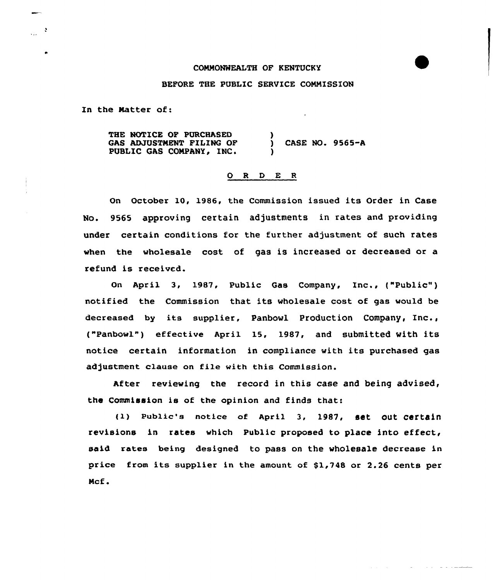## COMMONNEALTH OF KENTUCKY

## BEFORE THE PUBLIC SERUICE COMMISSION

In the Matter of:

 $\sim$   $2\,$ 

THE NOTICE OF PURCHASED GAS ADJUSTMENT FILING OF PUBLIC GAS COMPANY, INC.  $\lambda$ ) CASE NO. 9565-A )

## 0 <sup>R</sup> <sup>D</sup> E <sup>R</sup>

On October 10, 1986, the Commission issued its Order in Case No. 9565 approving certain adjustments in rates and providing under certain conditions for the further adjustment of such rates when the wholesale cost of gas is increased or decreased or a refund is received.

On April 3, 1987, Public Gas Company, Inc., ("Public") notified the Commission that its wholesale cost of gas would be decreased by its supplier, Panbowl Production Company, Inc., ("Panbowl") effective April 15, 1987, and submitted With its notice certain information in compliance with its purchased gas adjustment clause on file with this Commission.

After reviewing the record in this case and being advised, the Commission is of the opinion and finds that:

(1) Public's notice of April 3, 1987, set out certain revisions in rates which Public proposed to place into effect, said rates being designed to pass on the wholesale decrease in price from its supplier in the amount of \$1,748 or 2.26 cents per Mcf .

and a straight state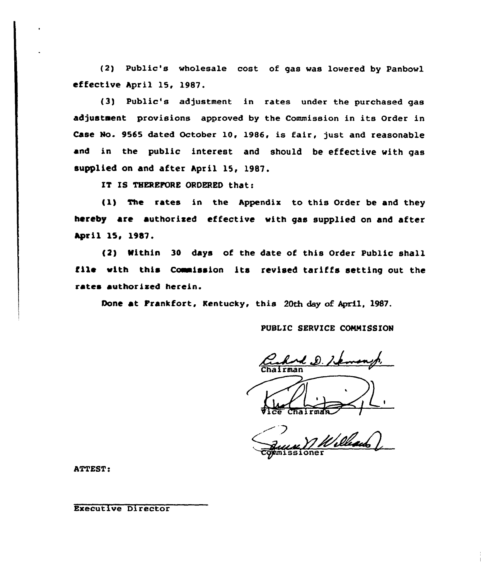(2) Public's wholesale cost, of gas was lowered by Panbowl effective April 15, 1987.

(3) Public's adjustment in rates under the purchased gas adjustment provisions approved by the Commission in its Order in Case No. 9565 dated October 10, 1986, is fair, just and reasonable and in the public interest and should be effective with gas supplied on and after April 15, 1987.

IT IS THEREFORE ORDERED that:

(1) The rates in the Appendix to this Order be and they hereby are authorized effective with gas supplied on and after April 15, 1987.

(2) Within 30 days of the date of this Order Public shall file with this Commission its revised tariffs setting out the rates authorized herein.

Done at Frankfort, Kentucky, this 20th day of April, 1987.

PUBLIC SERVICE COMMISSION

 $\mathcal{L}$ ,  $\mathcal{D}$ ,  $\mathcal{L}$ 

 $\theta$ ice Chairman

William Comissioner

Executive Director